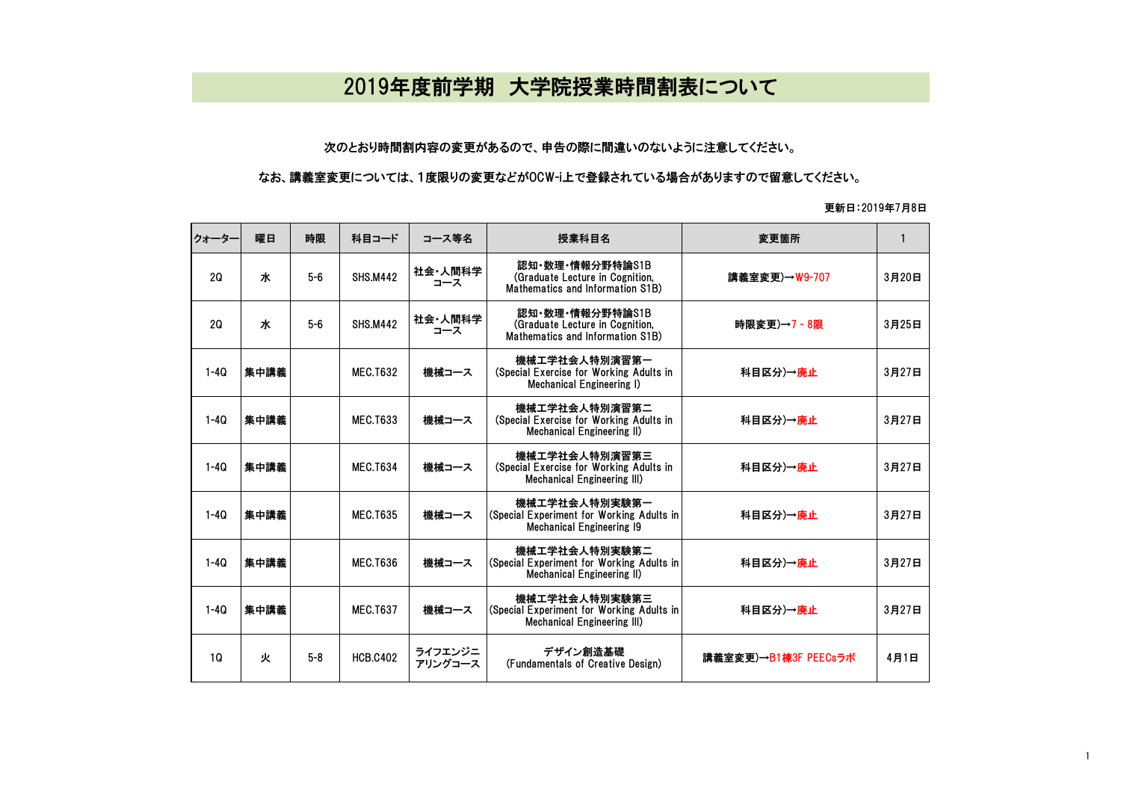## 2019年度前学期 大学院授業時間割表について

## 次のとおり時間割内容の変更があるので、申告の際に間違いのないように注意してください。

## なお、講義室変更については、1度限りの変更などがOCW-i上で登録されている場合がありますので留意してください。

## 更新日:2019年7月8日

| クォーター  | 曜日   | 時限      | 科目コード           | コース等名              | 授業科目名                                                                                            | 変更箇所                 | 1     |
|--------|------|---------|-----------------|--------------------|--------------------------------------------------------------------------------------------------|----------------------|-------|
| 20     | ж    | $5-6$   | <b>SHS.M442</b> | 社会·人間科学<br>コース     | 認知·数理·情報分野特論S1B<br>(Graduate Lecture in Cognition,<br>Mathematics and Information S1B)           | 講義室変更)→W9-707        | 3月20日 |
| 20     | ж    | $5-6$   | <b>SHS.M442</b> | 社会・人間科学<br>コース     | 認知・数理・情報分野特論S1B<br>(Graduate Lecture in Cognition,<br>Mathematics and Information S1B)           | 時限変更)→7 - 8限         | 3月25日 |
| $1-4Q$ | 集中講義 |         | <b>MEC.T632</b> | 機械コース              | 機械工学社会人特別演習第一<br>(Special Exercise for Working Adults in<br>Mechanical Engineering I)            | 科目区分)→廃止             | 3月27日 |
| $1-4Q$ | 集中講義 |         | <b>MEC.T633</b> | 機械コース              | 機械工学社会人特別演習第二<br>(Special Exercise for Working Adults in<br>Mechanical Engineering II)           | 科目区分)→廃止             | 3月27日 |
| $1-4Q$ | 集中講義 |         | <b>MEC.T634</b> | 機械コース              | 機械工学社会人特別演習第三<br>(Special Exercise for Working Adults in<br>Mechanical Engineering III)          | 科目区分)→廃止             | 3月27日 |
| $1-4Q$ | 集中講義 |         | <b>MEC.T635</b> | 機械コース              | 機械工学社会人特別実験第一<br>(Special Experiment for Working Adults in<br><b>Mechanical Engineering 19</b>   | 科目区分)→廃止             | 3月27日 |
| $1-4Q$ | 集中講義 |         | <b>MEC.T636</b> | 機械コース              | 機械工学社会人特別実験第二<br>(Special Experiment for Working Adults in<br><b>Mechanical Engineering II)</b>  | 科目区分)→廃止             | 3月27日 |
| $1-4Q$ | 集中講義 |         | <b>MEC.T637</b> | 機械コース              | 機械工学社会人特別実験第三<br>(Special Experiment for Working Adults in<br><b>Mechanical Engineering III)</b> | 科目区分)→廃止             | 3月27日 |
| 10     | 火    | $5 - 8$ | <b>HCB.C402</b> | ライフエンジニ<br>アリングコース | デザイン創造基礎<br>(Fundamentals of Creative Design)                                                    | 講義室変更)→B1棟3F PEECsラボ | 4月1日  |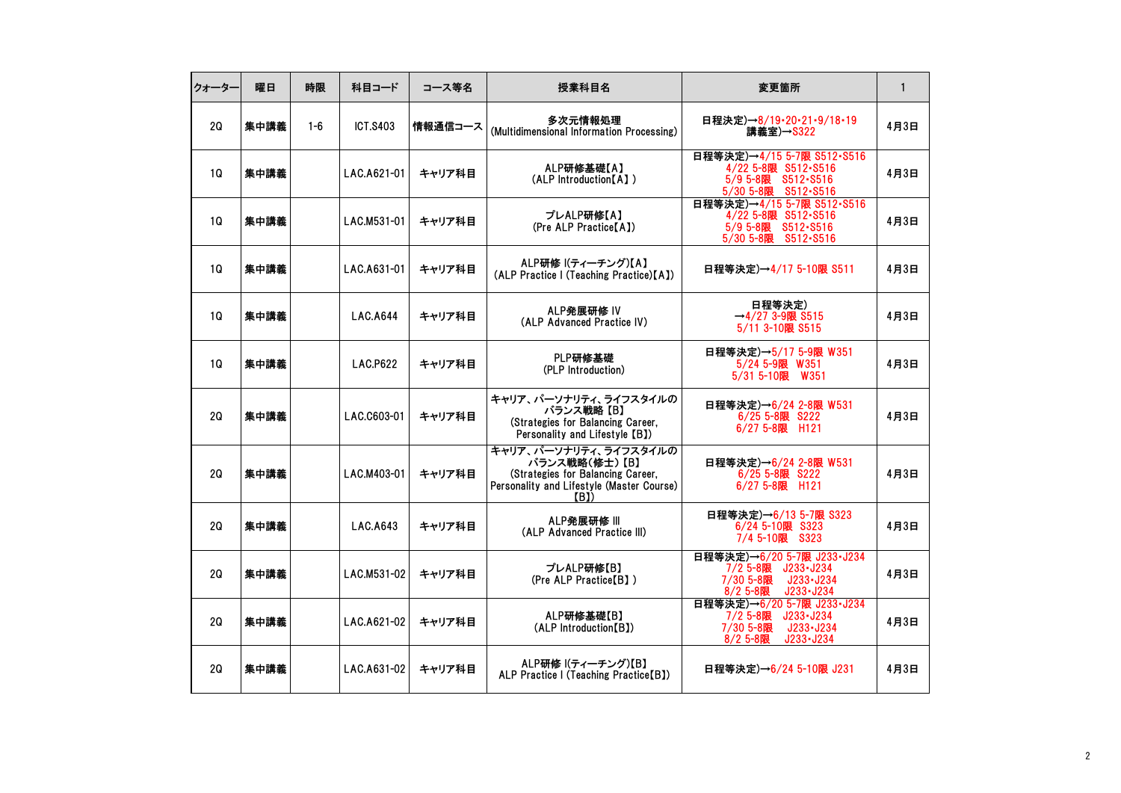| クォーター     | 曜日   | 時限      | 科目コード           | コース等名   | 授業科目名                                                                                                                            | 変更箇所                                                                                                         | $\mathbf{1}$ |
|-----------|------|---------|-----------------|---------|----------------------------------------------------------------------------------------------------------------------------------|--------------------------------------------------------------------------------------------------------------|--------------|
| 20        | 集中講義 | $1 - 6$ | <b>ICT.S403</b> | 情報通信コース | 多次元情報処理<br>(Multidimensional Information Processing)                                                                             | 日程決定)→8/19・20・21・9/18・19<br>講義室)→S322                                                                        | 4月3日         |
| <b>1Q</b> | 集中講義 |         | LAC.A621-01     | キャリア科目  | ALP研修基礎【A】<br>(ALP Introduction [A])                                                                                             | 日程等決定)→4/15 5-7限 S512-S516<br>4/22 5-8限 S512-S516<br>5/9 5-8限 S512-S516<br>5/30 5-8限<br>S512-S516            | 4月3日         |
| 1Q        | 集中講義 |         | LAC.M531-01     | キャリア科目  | プレALP研修【A】<br>(Pre ALP Practice[A])                                                                                              | 日程等決定)→4/15 5-7限 S512-S516<br>4/22 5-8限 S512-S516<br>5/9 5-8限 S512-S516<br>S512-S516<br>5/30 5-8限            | 4月3日         |
| 10        | 集中講義 |         | LAC.A631-01     | キャリア科目  | ALP研修 ((ティーチング)【A】<br>(ALP Practice I (Teaching Practice)[A])                                                                    | 日程等決定)→4/17 5-10限 S511                                                                                       | 4月3日         |
| 10        | 集中講義 |         | LAC.A644        | キャリア科目  | ALP発展研修 IV<br>(ALP Advanced Practice IV)                                                                                         | 日程等決定)<br>$\rightarrow$ 4/27 3-9限 S515<br>5/11 3-10限 S515                                                    | 4月3日         |
| 1Q        | 集中講義 |         | LAC.P622        | キャリア科目  | PLP研修基礎<br>(PLP Introduction)                                                                                                    | 日程等決定)→5/17 5-9限 W351<br>5/24 5-9限 W351<br>5/31 5-10限 W351                                                   | 4月3日         |
| 20        | 集中講義 |         | LAC.C603-01     | キャリア科目  | キャリア、パーソナリティ、ライフスタイルの<br>バランス戦略【B】<br>(Strategies for Balancing Career,<br>Personality and Lifestyle [B])                        | 日程等決定)→6/24 2-8限 W531<br>6/25 5-8限 S222<br>6/27 5-8限 H121                                                    | 4月3日         |
| 20        | 集中講義 |         | LAC.M403-01     | キャリア科目  | キャリア、パーソナリティ、ライフスタイルの<br>バランス戦略(修士) 【B】<br>(Strategies for Balancing Career,<br>Personality and Lifestyle (Master Course)<br>(B) | 日程等決定)→6/24 2-8限 W531<br>6/25 5-8限 S222<br>6/27 5-8限 H121                                                    | 4月3日         |
| 20        | 集中講義 |         | LAC.A643        | キャリア科目  | ALP発展研修 III<br>(ALP Advanced Practice III)                                                                                       | 日程等決定)→6/13 5-7限 S323<br>6/24 5-10限 S323<br>7/4 5-10限 S323                                                   | 4月3日         |
| 2Q        | 集中講義 |         | LAC.M531-02     | キャリア科目  | プレALP研修【B】<br>(Pre ALP Practice[B])                                                                                              | 日程等決定)→6/20 5-7限 J233-J234<br>7/2 5-8限 J233-J234<br>7/30 5-8限<br>J233-J234<br>8/2 5-8限<br>$J233 - J234$      | 4月3日         |
| 20        | 集中講義 |         | LAC.A621-02     | キャリア科目  | ALP研修基礎【B】<br>(ALP Introduction[B])                                                                                              | 日程等決定)→6/20 5-7限 J233-J234<br>J233-J234<br>7/2 5-8限<br>J233-J234<br>7/30 5-8限<br>$J233 - J234$<br>$8/2$ 5-8限 | 4月3日         |
| 20        | 集中講義 |         | LAC.A631-02     | キャリア科目  | ALP研修 (ティーチング)【B】<br>ALP Practice I (Teaching Practice[B])                                                                       | 日程等決定)→6/24 5-10限 J231                                                                                       | 4月3日         |
|           |      |         |                 |         |                                                                                                                                  |                                                                                                              |              |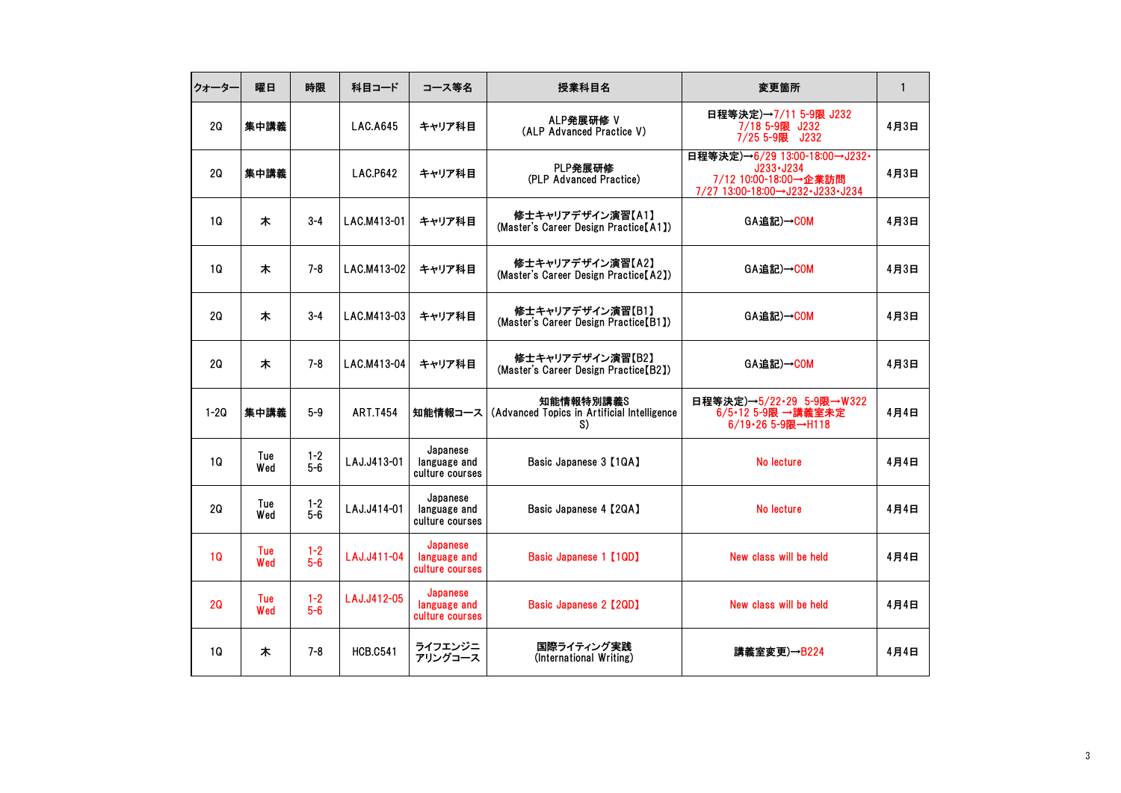| クォーター  | 曜日         | 時限               | 科目コード           | コース等名                                       | 授業科目名                                                          | 変更箇所                                                                                                       | $\mathbf{1}$ |
|--------|------------|------------------|-----------------|---------------------------------------------|----------------------------------------------------------------|------------------------------------------------------------------------------------------------------------|--------------|
| 2Q     | 集中講義       |                  | <b>LAC.A645</b> | キャリア科目                                      | ALP発展研修 V<br>(ALP Advanced Practice V)                         | 日程等決定)→7/11 5-9限 J232<br>7/18 5-9限 J232<br>7/25 5-9限 J232                                                  | 4月3日         |
| 20     | 集中講義       |                  | LAC.P642        | キャリア科目                                      | PLP発展研修<br>(PLP Advanced Practice)                             | 日程等決定)→6/29 13:00-18:00→J232·<br>$J233 - J234$<br>7/12 10:00-18:00→企業訪問<br>7/27 13:00-18:00→J232-J233-J234 | 4月3日         |
| 1Q     | 木          | $3 - 4$          | LAC.M413-01     | キャリア科目                                      | 修士キャリアデザイン演習【A1】<br>(Master's Career Design Practice [A1])     | GA追記)→COM                                                                                                  | 4月3日         |
| 10     | 木          | $7 - 8$          | LAC.M413-02     | キャリア科目                                      | 修士キャリアデザイン演習【A2】<br>(Master's Career Design Practice[A2])      | GA追記)→COM                                                                                                  | 4月3日         |
| 2Q     | 木          | $3 - 4$          | LAC.M413-03     | キャリア科目                                      | 修士キャリアデザイン演習【B1】<br>(Master's Career Design Practice [B1])     | GA追記)→COM                                                                                                  | 4月3日         |
| 2Q     | 木          | $7 - 8$          | LAC.M413-04     | キャリア科目                                      | 修士キャリアデザイン演習【B2】<br>(Master's Career Design Practice [B2])     | GA追記)→COM                                                                                                  | 4月3日         |
| $1-2Q$ | 集中講義       | $5-9$            | <b>ART.T454</b> | 知能情報コース                                     | 知能情報特別講義S<br>(Advanced Topics in Artificial Intelligence<br>S) | 日程等決定)→5/22-29 5-9限→W322<br>6/5•12 5-9限 →講義室未定<br>6/19-26 5-9限→H118                                        | 4月4日         |
| 1Q     | Tue<br>Wed | $1 - 2$<br>$5-6$ | LAJ.J413-01     | Japanese<br>language and<br>culture courses | Basic Japanese 3 [1QA]                                         | No lecture                                                                                                 | 4月4日         |
| 2Q     | Tue<br>Wed | $1 - 2$<br>$5-6$ | LAJ.J414-01     | Japanese<br>language and<br>culture courses | Basic Japanese 4 [2QA]                                         | No lecture                                                                                                 | 4月4日         |
| 10     | Tue<br>Wed | $1 - 2$<br>$5-6$ | LAJ.J411-04     | Japanese<br>language and<br>culture courses | Basic Japanese 1 [1QD]                                         | New class will be held                                                                                     | 4月4日         |
| 2Q     | Tue<br>Wed | $1 - 2$<br>$5-6$ | LAJ.J412-05     | Japanese<br>language and<br>culture courses | Basic Japanese 2 [2QD]                                         | New class will be held                                                                                     | 4月4日         |
| 1Q     | 木          | $7 - 8$          | <b>HCB.C541</b> | ライフエンジニ<br>アリングコース                          | 国際ライティング実践<br>(International Writing)                          | 講義室変更)→B224                                                                                                | 4月4日         |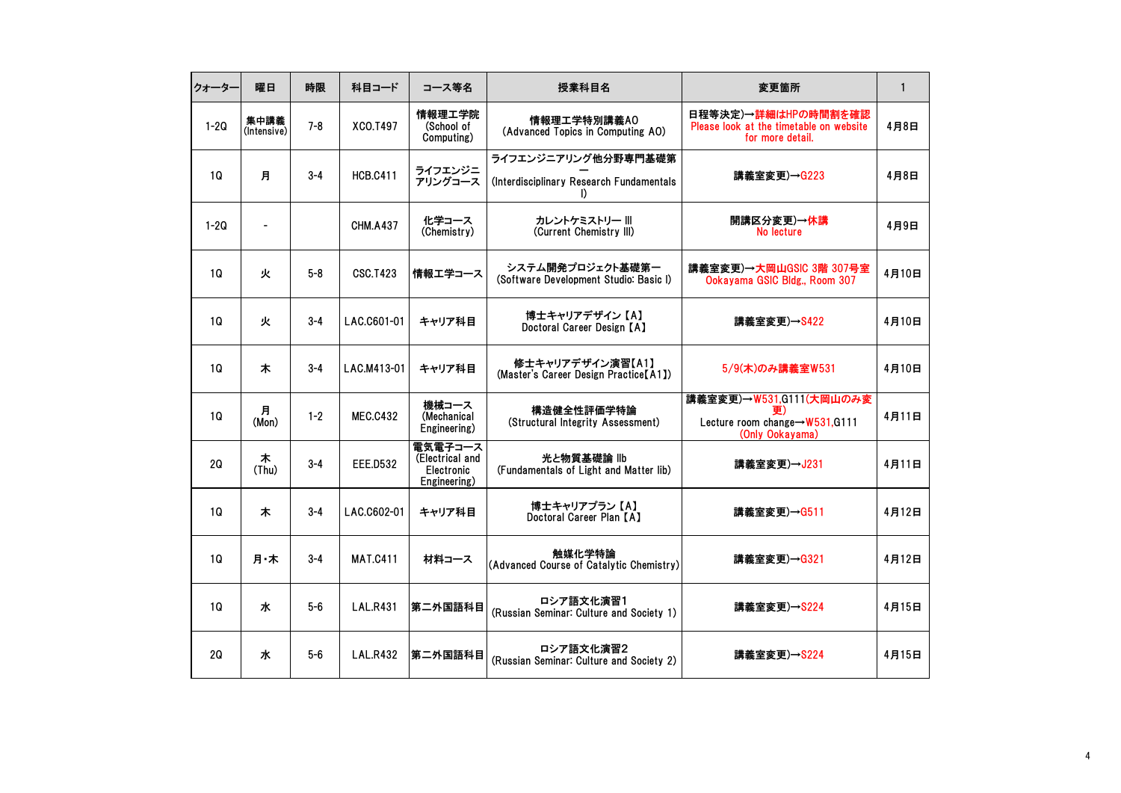| クォーター     | 曜日                  | 時限      | 科目コード           | コース等名                                                    | 授業科目名                                                            | 変更箇所                                                                               | $\mathbf{1}$ |
|-----------|---------------------|---------|-----------------|----------------------------------------------------------|------------------------------------------------------------------|------------------------------------------------------------------------------------|--------------|
| $1 - 2Q$  | 集中講義<br>(Intensive) | $7 - 8$ | XCO.T497        | 情報理工学院<br>(School of<br>Computing)                       | 情報理工学特別講義AO<br>(Advanced Topics in Computing AO)                 | 日程等決定)→詳細はHPの時間割を確認<br>Please look at the timetable on website<br>for more detail. | 4月8日         |
| <b>1Q</b> | 月                   | $3 - 4$ | <b>HCB.C411</b> | ライフエンジニ<br>アリングコース                                       | ライフエンジニアリング他分野専門基礎第<br>(Interdisciplinary Research Fundamentals) | 講義室変更)→G223                                                                        | 4月8日         |
| $1 - 2Q$  |                     |         | <b>CHM.A437</b> | 化学コース<br>(Chemistry)                                     | カレントケミストリー Ⅲ<br>(Current Chemistry III)                          | 開講区分変更)→休講<br>No lecture                                                           | 4月9日         |
| <b>1Q</b> | 火                   | $5 - 8$ | <b>CSC.T423</b> | 情報エ学コース                                                  | システム開発プロジェクト基礎第一<br>(Software Development Studio: Basic I)       | 講義室変更)→大岡山GSIC 3階 307号室<br>Ookayama GSIC Bldg., Room 307                           | 4月10日        |
| 1Q        | 火                   | $3 - 4$ | LAC.C601-01     | キャリア科目                                                   | 博士キャリアデザイン【A】<br>Doctoral Career Design [A]                      | 講義室変更)→S422                                                                        | 4月10日        |
| 10        | 木                   | $3 - 4$ | LAC.M413-01     | キャリア科目                                                   | 修士キャリアデザイン演習【A1】<br>(Master's Career Design Practice [A1])       | 5/9(木)のみ講義室W531                                                                    | 4月10日        |
| 1Q        | 月<br>(Mon)          | $1 - 2$ | <b>MEC.C432</b> | 機械コース<br>(Mechanical<br>Engineering)                     | 構造健全性評価学特論<br>(Structural Integrity Assessment)                  | 講義室変更)→W531,G111(大岡山のみ変<br>Lecture room change→W531,G111<br>(Only Ookayama)        | 4月11日        |
| 20        | 木<br>(Thu)          | $3 - 4$ | <b>EEE.D532</b> | 電気電子コース<br>(Electrical and<br>Electronic<br>Engineering) | 光と物質基礎論 llb<br>(Fundamentals of Light and Matter lib)            | 講義室変更)→J231                                                                        | 4月11日        |
| <b>1Q</b> | 木                   | $3 - 4$ | LAC.C602-01     | キャリア科目                                                   | 博士キャリアプラン【A】<br>Doctoral Career Plan [A]                         | 講義室変更)→G511                                                                        | 4月12日        |
| 1Q        | 月・木                 | $3 - 4$ | <b>MAT.C411</b> | 材料コース                                                    | 触媒化学特論<br>(Advanced Course of Catalytic Chemistry)               | 講義室変更)→G321                                                                        | 4月12日        |
| 10        | ж                   | $5-6$   | <b>LAL.R431</b> | 第二外国語科目                                                  | ロシア語文化演習1<br>(Russian Seminar: Culture and Society 1)            | 講義室変更)→S224                                                                        | 4月15日        |
| 2Q        | ж                   | $5-6$   | <b>LAL.R432</b> | 第二外国語科目                                                  | ロシア語文化演習2<br>(Russian Seminar: Culture and Society 2)            | 講義室変更)→S224                                                                        | 4月15日        |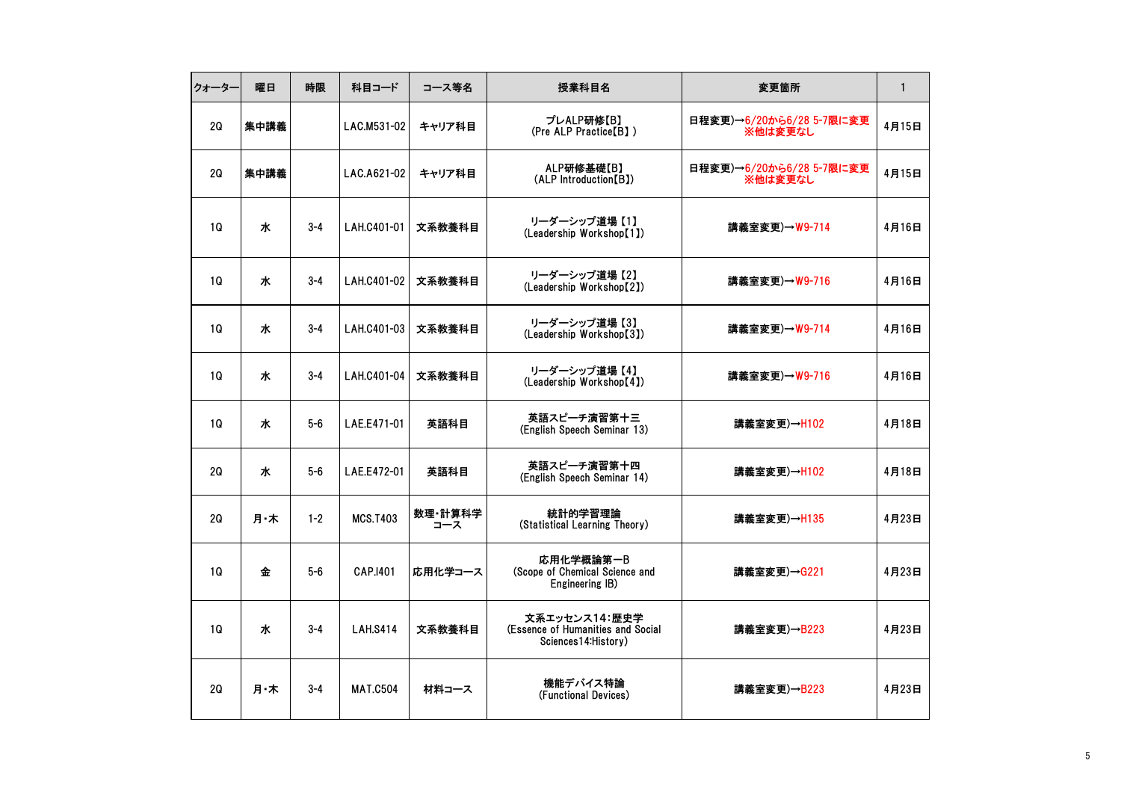| クォーター     | 曜日   | 時限      | 科目コード           | コース等名          | 授業科目名                                                                      | 変更箇所                                | $\mathbf{1}$ |
|-----------|------|---------|-----------------|----------------|----------------------------------------------------------------------------|-------------------------------------|--------------|
| 2Q        | 集中講義 |         | LAC.M531-02     | キャリア科目         | プレALP研修【B】<br>(Pre ALP Practice[B])                                        | 日程変更)→6/20から6/28 5-7限に変更<br>※他は変更なし | 4月15日        |
| 20        | 集中講義 |         | LAC.A621-02     | キャリア科目         | ALP研修基礎【B】<br>(ALP Introduction [B])                                       | 日程変更)→6/20から6/28 5-7限に変更<br>※他は変更なし | 4月15日        |
| 10        | ж    | $3 - 4$ | LAH.C401-01     | 文系教養科目         | リーダーシップ道場 【1】<br>(Leadership Workshop[1])                                  | 講義室変更)→W9-714                       | 4月16日        |
| 10        | 水    | $3 - 4$ | LAH.C401-02     | 文系教養科目         | リーダーシップ道場 【2】<br>(Leadership Workshop[2])                                  | 講義室変更)→W9-716                       | 4月16日        |
| 10        | ж    | $3 - 4$ | LAH.C401-03     | 文系教養科目         | リーダーシップ道場 【3】<br>(Leadership Workshop[3])                                  | 講義室変更)→W9-714                       | 4月16日        |
| <b>1Q</b> | ж    | $3 - 4$ | LAH.C401-04     | 文系教養科目         | リーダーシップ道場 【4】<br>(Leadership Workshop[4])                                  | 講義室変更)→W9-716                       | 4月16日        |
| 10        | ж    | $5-6$   | LAE.E471-01     | 英語科目           | 英語スピーチ演習第十三<br>(English Speech Seminar 13)                                 | 講義室変更)→H102                         | 4月18日        |
| 20        | ж    | $5-6$   | LAE.E472-01     | 英語科目           | 英語スピーチ演習第十四<br>(English Speech Seminar 14)                                 | 講義室変更)→H102                         | 4月18日        |
| 2Q        | 月・木  | $1 - 2$ | <b>MCS.T403</b> | 数理·計算科学<br>コース | 統計的学習理論<br>(Statistical Learning Theory)                                   | 講義室変更)→H135                         | 4月23日        |
| 10        | 金    | $5-6$   | CAP.1401        | 応用化学コース        | 応用化学概論第一B<br>(Scope of Chemical Science and<br>Engineering IB)             | 講義室変更)→G221                         | 4月23日        |
| <b>1Q</b> | ж    | $3 - 4$ | <b>LAH.S414</b> | 文系教養科目         | 文系エッセンス14:歴史学<br>(Essence of Humanities and Social<br>Sciences14: History) | 講義室変更)→B223                         | 4月23日        |
| 2Q        | 月・木  | $3 - 4$ | <b>MAT.C504</b> | 材料コース          | 機能デバイス特論<br>(Functional Devices)                                           | 講義室変更)→B223                         | 4月23日        |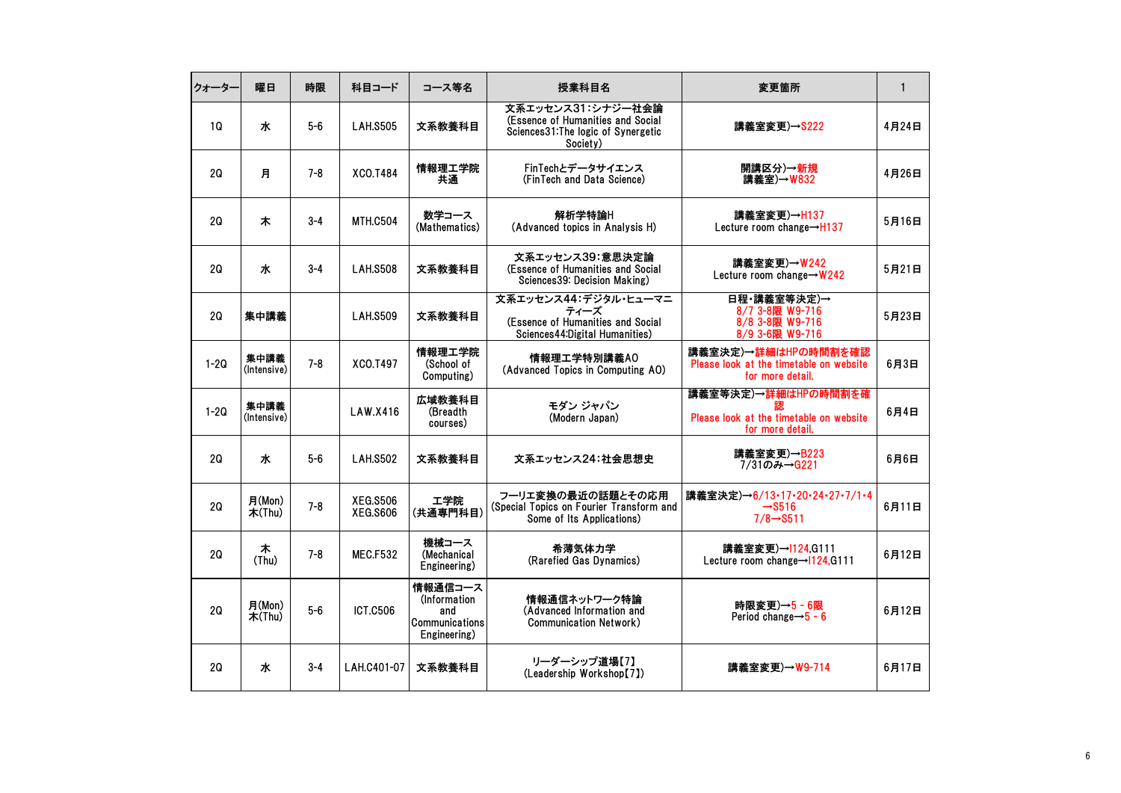| クォーター    | 曜日                  | 時限      | 科目コード                       | コース等名                                                            | 授業科目名                                                                                                     | 変更箇所                                                                               | $\mathbf{1}$ |
|----------|---------------------|---------|-----------------------------|------------------------------------------------------------------|-----------------------------------------------------------------------------------------------------------|------------------------------------------------------------------------------------|--------------|
| 1Q       | 水                   | $5-6$   | <b>LAH.S505</b>             | 文系教養科目                                                           | 文系エッセンス31:シナジー社会論<br>(Essence of Humanities and Social<br>Sciences31: The logic of Synergetic<br>Society) | 講義室変更)→S222                                                                        | 4月24日        |
| 2Q       | 月                   | $7 - 8$ | XCO.T484                    | 情報理工学院<br>共通                                                     | FinTechとデータサイエンス<br>(FinTech and Data Science)                                                            | 開講区分)→新規<br>講義室)→W832                                                              | 4月26日        |
| 20       | 木                   | $3 - 4$ | <b>MTH.C504</b>             | 数学コース<br>(Mathematics)                                           | 解析学特論H<br>(Advanced topics in Analysis H)                                                                 | 講義室変更)→H137<br>Lecture room change $\rightarrow$ H137                              | 5月16日        |
| 20       | 水                   | $3 - 4$ | <b>LAH.S508</b>             | 文系教養科目                                                           | 文系エッセンス39:意思決定論<br>(Essence of Humanities and Social<br>Sciences39: Decision Making)                      | 講義室変更)→W242<br>Lecture room change→W242                                            | 5月21日        |
| 2Q       | 集中講義                |         | <b>LAH.S509</b>             | 文系教養科目                                                           | 文系エッセンス44:デジタル・ヒューマニ<br>ティーズ<br>(Essence of Humanities and Social<br>Sciences44: Digital Humanities)      | 日程·講義室等決定)→<br>8/7 3-8限 W9-716<br>8/8 3-8限 W9-716<br>8/9 3-6限 W9-716               | 5月23日        |
| $1-2Q$   | 集中講義<br>(Intensive) | $7 - 8$ | XCO.T497                    | 情報理工学院<br>(School of<br>Computing)                               | 情報理工学特別講義AO<br>(Advanced Topics in Computing AO)                                                          | 講義室決定)→詳細はHPの時間割を確認<br>Please look at the timetable on website<br>for more detail. | 6月3日         |
| $1 - 20$ | 集中講義<br>(Intensive) |         | LAW.X416                    | 広域教養科目<br>(Breadth<br>courses)                                   | モダン ジャパン<br>(Modern Japan)                                                                                | 講義室等決定)→詳細はHPの時間割を確<br>Please look at the timetable on website<br>for more detail. | 6月4日         |
| 2Q       | 水                   | $5-6$   | <b>LAH.S502</b>             | 文系教養科目                                                           | 文系エッセンス24:社会思想史                                                                                           | 講義室変更)→B223<br>7/31のみ→G221                                                         | 6月6日         |
| 2Q       | 月(Mon)<br>木 $(Thu)$ | $7 - 8$ | <b>XEG.S506</b><br>XEG.S606 | エ学院<br>(共通専門科目)                                                  | フーリエ変換の最近の話題とその応用<br>(Special Topics on Fourier Transform and<br>Some of Its Applications)                | 講義室決定)→6/13-17-20-24-27-7/1-4<br>$\rightarrow$ S516<br>$7/8 \rightarrow$ S511      | 6月11日        |
| 20       | 木<br>(Thu)          | $7 - 8$ | <b>MEC.F532</b>             | 機械コース<br>(Mechanical<br>Engineering)                             | 希薄気体力学<br>(Rarefied Gas Dynamics)                                                                         | 講義室変更)→I124.G111<br>Lecture room change $\rightarrow$ 1124, G111                   | 6月12日        |
| 20       | 月(Mon)<br>木(Thu)    | $5-6$   | <b>ICT.C506</b>             | 情報通信コース<br>(Information<br>and<br>Communications<br>Engineering) | 情報通信ネットワーク特論<br>(Advanced Information and<br>Communication Network)                                       | 時限変更)→5 - 6限<br>Period change $\rightarrow$ 5 - 6                                  | 6月12日        |
| 2Q       | 水                   | $3 - 4$ | LAH.C401-07                 | 文系教養科目                                                           | リーダーシップ道場【7】<br>(Leadership Workshop[7])                                                                  | 講義室変更)→W9-714                                                                      | 6月17日        |